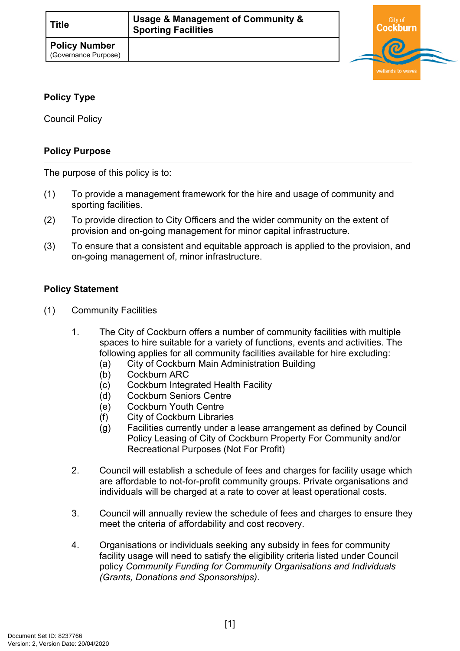

## **Policy Type**

Council Policy

## **Policy Purpose**

The purpose of this policy is to:

- (1) To provide a management framework for the hire and usage of community and sporting facilities.
- (2) To provide direction to City Officers and the wider community on the extent of provision and on-going management for minor capital infrastructure.
- (3) To ensure that a consistent and equitable approach is applied to the provision, and on-going management of, minor infrastructure.

## **[Policy Statement](#page-0-0)**

- <span id="page-0-0"></span>(1) Community Facilities
	- 1. The City of Cockburn offers a number of community facilities with multiple spaces to hire suitable for a variety of functions, events and activities. The following applies for all community facilities available for hire excluding:
		- (a) City of Cockburn Main Administration Building
		- (b) Cockburn ARC
		- (c) Cockburn Integrated Health Facility
		- (d) Cockburn Seniors Centre
		- (e) Cockburn Youth Centre
		- (f) City of Cockburn Libraries
		- (g) Facilities currently under a lease arrangement as defined by Council Policy Leasing of City of Cockburn Property For Community and/or Recreational Purposes (Not For Profit)
	- 2. Council will establish a schedule of fees and charges for facility usage which are affordable to not-for-profit community groups. Private organisations and individuals will be charged at a rate to cover at least operational costs.
	- 3. Council will annually review the schedule of fees and charges to ensure they meet the criteria of affordability and cost recovery.
	- 4. Organisations or individuals seeking any subsidy in fees for community facility usage will need to satisfy the eligibility criteria listed under Council policy *Community Funding for Community Organisations and Individuals (Grants, Donations and Sponsorships)*.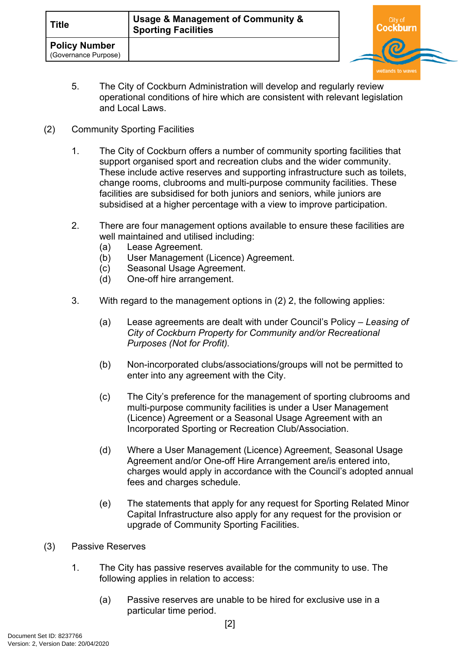

- 5. The City of Cockburn Administration will develop and regularly review operational conditions of hire which are consistent with relevant legislation and Local Laws.
- (2) Community Sporting Facilities
	- 1. The City of Cockburn offers a number of community sporting facilities that support organised sport and recreation clubs and the wider community. These include active reserves and supporting infrastructure such as toilets, change rooms, clubrooms and multi-purpose community facilities. These facilities are subsidised for both juniors and seniors, while juniors are subsidised at a higher percentage with a view to improve participation.
	- 2. There are four management options available to ensure these facilities are well maintained and utilised including:
		- (a) Lease Agreement.
		- (b) User Management (Licence) Agreement.
		- (c) Seasonal Usage Agreement.
		- (d) One-off hire arrangement.
	- 3. With regard to the management options in (2) 2, the following applies:
		- (a) Lease agreements are dealt with under Council's Policy *Leasing of City of Cockburn Property for Community and/or Recreational Purposes (Not for Profit).*
		- (b) Non-incorporated clubs/associations/groups will not be permitted to enter into any agreement with the City.
		- (c) The City's preference for the management of sporting clubrooms and multi-purpose community facilities is under a User Management (Licence) Agreement or a Seasonal Usage Agreement with an Incorporated Sporting or Recreation Club/Association.
		- (d) Where a User Management (Licence) Agreement, Seasonal Usage Agreement and/or One-off Hire Arrangement are/is entered into, charges would apply in accordance with the Council's adopted annual fees and charges schedule.
		- (e) The statements that apply for any request for Sporting Related Minor Capital Infrastructure also apply for any request for the provision or upgrade of Community Sporting Facilities.
- (3) Passive Reserves
	- 1. The City has passive reserves available for the community to use. The following applies in relation to access:
		- (a) Passive reserves are unable to be hired for exclusive use in a particular time period.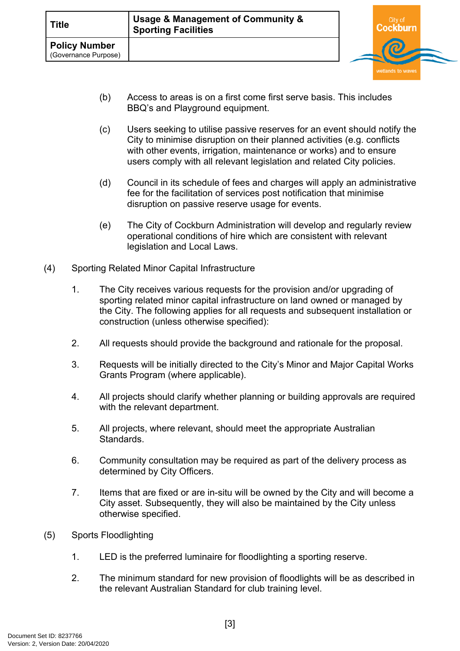

- (b) Access to areas is on a first come first serve basis. This includes BBQ's and Playground equipment.
- (c) Users seeking to utilise passive reserves for an event should notify the City to minimise disruption on their planned activities (e.g. conflicts with other events, irrigation, maintenance or works) and to ensure users comply with all relevant legislation and related City policies.
- (d) Council in its schedule of fees and charges will apply an administrative fee for the facilitation of services post notification that minimise disruption on passive reserve usage for events.
- (e) The City of Cockburn Administration will develop and regularly review operational conditions of hire which are consistent with relevant legislation and Local Laws.
- (4) Sporting Related Minor Capital Infrastructure
	- 1. The City receives various requests for the provision and/or upgrading of sporting related minor capital infrastructure on land owned or managed by the City. The following applies for all requests and subsequent installation or construction (unless otherwise specified):
	- 2. All requests should provide the background and rationale for the proposal.
	- 3. Requests will be initially directed to the City's Minor and Major Capital Works Grants Program (where applicable).
	- 4. All projects should clarify whether planning or building approvals are required with the relevant department.
	- 5. All projects, where relevant, should meet the appropriate Australian **Standards**
	- 6. Community consultation may be required as part of the delivery process as determined by City Officers.
	- 7. Items that are fixed or are in-situ will be owned by the City and will become a City asset. Subsequently, they will also be maintained by the City unless otherwise specified.
- (5) Sports Floodlighting
	- 1. LED is the preferred luminaire for floodlighting a sporting reserve.
	- 2. The minimum standard for new provision of floodlights will be as described in the relevant Australian Standard for club training level.